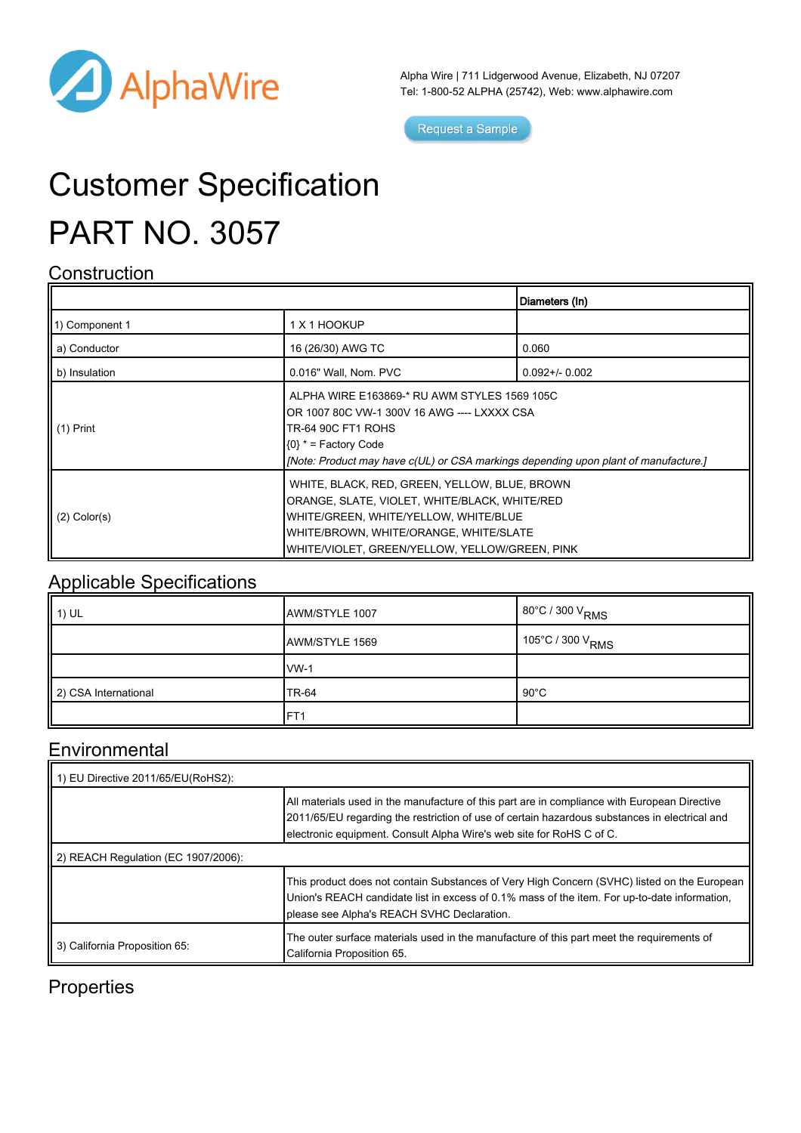

Alpha Wire | 711 Lidgerwood Avenue, Elizabeth, NJ 07207 Tel: 1-800-52 ALPHA (25742), Web: [www.alphawire.com](http://www.alphawire.com)

Request a Sample

# Customer Specification PART NO. 3057

#### **Construction**

|                   |                                                                                                                                                                                                                                           | Diameters (In)      |
|-------------------|-------------------------------------------------------------------------------------------------------------------------------------------------------------------------------------------------------------------------------------------|---------------------|
| 11) Component 1   | 1 X 1 HOOKUP                                                                                                                                                                                                                              |                     |
| a) Conductor      | 16 (26/30) AWG TC                                                                                                                                                                                                                         | 0.060               |
| b) Insulation     | 0.016" Wall, Nom. PVC                                                                                                                                                                                                                     | $0.092 + / - 0.002$ |
| II (1) Print      | ALPHA WIRE E163869-* RU AWM STYLES 1569 105C<br>OR 1007 80C VW-1 300V 16 AWG ---- LXXXX CSA<br><b>TR-64 90C FT1 ROHS</b><br>$(0)$ * = Factory Code<br>[Note: Product may have c(UL) or CSA markings depending upon plant of manufacture.] |                     |
| $(2)$ Color $(s)$ | WHITE, BLACK, RED, GREEN, YELLOW, BLUE, BROWN<br>ORANGE, SLATE, VIOLET, WHITE/BLACK, WHITE/RED<br>WHITE/GREEN, WHITE/YELLOW, WHITE/BLUE<br>WHITE/BROWN, WHITE/ORANGE, WHITE/SLATE<br>WHITE/VIOLET, GREEN/YELLOW, YELLOW/GREEN, PINK       |                     |

#### Applicable Specifications

| 1) UL                | AWM/STYLE 1007 | 1 80°C / 300 V <sub>RMS</sub>  |
|----------------------|----------------|--------------------------------|
|                      | AWM/STYLE 1569 | ∣ 105°C / 300 V <sub>RMS</sub> |
|                      | $vw-1$         |                                |
| 2) CSA International | <b>TR-64</b>   | $90^{\circ}$ C                 |
|                      | IFT1           |                                |

#### **Environmental**

| 1) EU Directive 2011/65/EU(RoHS2):  |                                                                                                                                                                                                                                                                       |  |
|-------------------------------------|-----------------------------------------------------------------------------------------------------------------------------------------------------------------------------------------------------------------------------------------------------------------------|--|
|                                     | All materials used in the manufacture of this part are in compliance with European Directive<br>2011/65/EU regarding the restriction of use of certain hazardous substances in electrical and<br>electronic equipment. Consult Alpha Wire's web site for RoHS C of C. |  |
| 2) REACH Regulation (EC 1907/2006): |                                                                                                                                                                                                                                                                       |  |
|                                     | This product does not contain Substances of Very High Concern (SVHC) listed on the European<br>Union's REACH candidate list in excess of 0.1% mass of the item. For up-to-date information,<br>please see Alpha's REACH SVHC Declaration.                             |  |
| 3) California Proposition 65:       | The outer surface materials used in the manufacture of this part meet the requirements of<br>California Proposition 65.                                                                                                                                               |  |

### **Properties**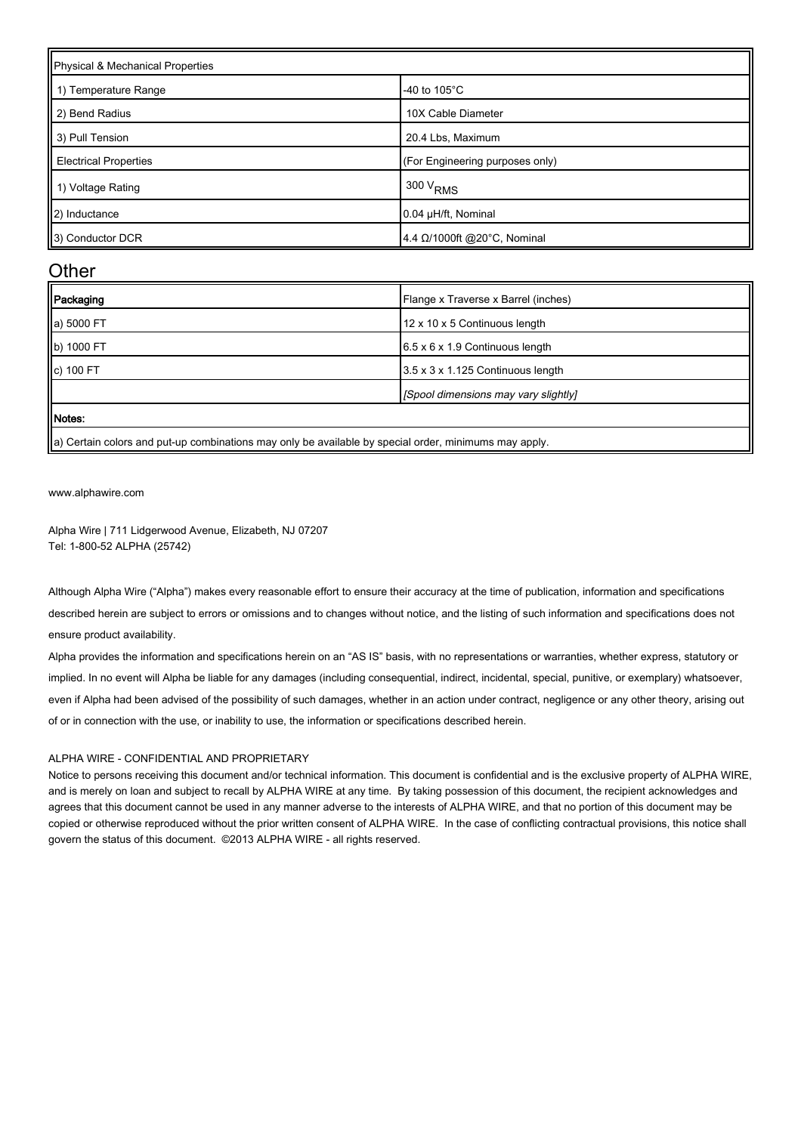| Physical & Mechanical Properties |                                 |  |
|----------------------------------|---------------------------------|--|
| 1) Temperature Range             | -40 to $105^{\circ}$ C          |  |
| 2) Bend Radius                   | 10X Cable Diameter              |  |
| 3) Pull Tension                  | 20.4 Lbs, Maximum               |  |
| <b>Electrical Properties</b>     | (For Engineering purposes only) |  |
| 1) Voltage Rating                | 300 V <sub>RMS</sub>            |  |
| 2) Inductance                    | 0.04 µH/ft, Nominal             |  |
| 3) Conductor DCR                 | 4.4 Ω/1000ft @20°C, Nominal     |  |

#### **Other**

| Packaging  | Flange x Traverse x Barrel (inches)                                                                  |
|------------|------------------------------------------------------------------------------------------------------|
| a) 5000 FT | 12 x 10 x 5 Continuous length                                                                        |
| b) 1000 FT | $6.5 \times 6 \times 1.9$ Continuous length                                                          |
| c) 100 FT  | 3.5 x 3 x 1.125 Continuous length                                                                    |
|            | [Spool dimensions may vary slightly]                                                                 |
| Motes:     |                                                                                                      |
|            | la) Cortain solore and nut un sombinations mou solube ovailable by special erder, minimums mou sonly |

||a) Certain colors and put-up combinations may only be available by special order, minimums may apply.

[www.alphawire.com](http://www.alphawire.com)

Alpha Wire | 711 Lidgerwood Avenue, Elizabeth, NJ 07207 Tel: 1-800-52 ALPHA (25742)

Although Alpha Wire ("Alpha") makes every reasonable effort to ensure their accuracy at the time of publication, information and specifications described herein are subject to errors or omissions and to changes without notice, and the listing of such information and specifications does not ensure product availability.

Alpha provides the information and specifications herein on an "AS IS" basis, with no representations or warranties, whether express, statutory or implied. In no event will Alpha be liable for any damages (including consequential, indirect, incidental, special, punitive, or exemplary) whatsoever, even if Alpha had been advised of the possibility of such damages, whether in an action under contract, negligence or any other theory, arising out of or in connection with the use, or inability to use, the information or specifications described herein.

#### ALPHA WIRE - CONFIDENTIAL AND PROPRIETARY

Notice to persons receiving this document and/or technical information. This document is confidential and is the exclusive property of ALPHA WIRE, and is merely on loan and subject to recall by ALPHA WIRE at any time. By taking possession of this document, the recipient acknowledges and agrees that this document cannot be used in any manner adverse to the interests of ALPHA WIRE, and that no portion of this document may be copied or otherwise reproduced without the prior written consent of ALPHA WIRE. In the case of conflicting contractual provisions, this notice shall govern the status of this document. ©2013 ALPHA WIRE - all rights reserved.